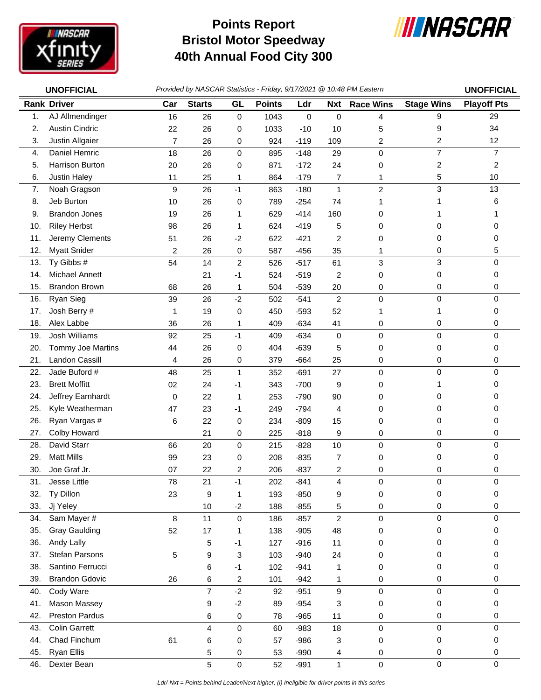

## **Bristol Motor Speedway 40th Annual Food City 300 Points Report**



|     | <b>UNOFFICIAL</b>     | Provided by NASCAR Statistics - Friday, 9/17/2021 @ 10:48 PM Eastern | <b>UNOFFICIAL</b> |                  |               |             |                |                  |                   |                    |
|-----|-----------------------|----------------------------------------------------------------------|-------------------|------------------|---------------|-------------|----------------|------------------|-------------------|--------------------|
|     | <b>Rank Driver</b>    | Car                                                                  | <b>Starts</b>     | GL               | <b>Points</b> | Ldr         | <b>Nxt</b>     | <b>Race Wins</b> | <b>Stage Wins</b> | <b>Playoff Pts</b> |
| 1.  | AJ Allmendinger       | 16                                                                   | 26                | $\pmb{0}$        | 1043          | $\mathsf 0$ | 0              | 4                | 9                 | 29                 |
| 2.  | <b>Austin Cindric</b> | 22                                                                   | 26                | 0                | 1033          | $-10$       | 10             | 5                | 9                 | 34                 |
| 3.  | Justin Allgaier       | $\overline{7}$                                                       | 26                | 0                | 924           | $-119$      | 109            | 2                | 2                 | 12                 |
| 4.  | Daniel Hemric         | 18                                                                   | 26                | 0                | 895           | $-148$      | 29             | $\mathbf 0$      | 7                 | $\overline{7}$     |
| 5.  | Harrison Burton       | 20                                                                   | 26                | 0                | 871           | $-172$      | 24             | 0                | 2                 | 2                  |
| 6.  | Justin Haley          | 11                                                                   | 25                | 1                | 864           | $-179$      | 7              | 1                | 5                 | 10                 |
| 7.  | Noah Gragson          | 9                                                                    | 26                | $-1$             | 863           | $-180$      | $\mathbf{1}$   | $\overline{c}$   | 3                 | 13                 |
| 8.  | Jeb Burton            | 10                                                                   | 26                | 0                | 789           | $-254$      | 74             | 1                | 1                 | 6                  |
| 9.  | <b>Brandon Jones</b>  | 19                                                                   | 26                | 1                | 629           | $-414$      | 160            | 0                | 1                 | 1                  |
| 10. | <b>Riley Herbst</b>   | 98                                                                   | 26                | 1                | 624           | $-419$      | 5              | $\pmb{0}$        | 0                 | 0                  |
| 11. | Jeremy Clements       | 51                                                                   | 26                | $-2$             | 622           | $-421$      | 2              | 0                | 0                 | 0                  |
| 12. | <b>Myatt Snider</b>   | 2                                                                    | 26                | 0                | 587           | $-456$      | 35             | 1                | 0                 | 5                  |
| 13. | Ty Gibbs #            | 54                                                                   | 14                | $\boldsymbol{2}$ | 526           | $-517$      | 61             | 3                | 3                 | 0                  |
| 14. | Michael Annett        |                                                                      | 21                | $-1$             | 524           | $-519$      | 2              | 0                | 0                 | 0                  |
| 15. | <b>Brandon Brown</b>  | 68                                                                   | 26                | 1                | 504           | $-539$      | 20             | 0                | 0                 | 0                  |
| 16. | Ryan Sieg             | 39                                                                   | 26                | $-2$             | 502           | $-541$      | $\overline{c}$ | $\mathbf 0$      | 0                 | 0                  |
| 17. | Josh Berry #          | 1                                                                    | 19                | 0                | 450           | $-593$      | 52             | 1                | 1                 | 0                  |
| 18. | Alex Labbe            | 36                                                                   | 26                | 1                | 409           | $-634$      | 41             | 0                | 0                 | 0                  |
| 19. | Josh Williams         | 92                                                                   | 25                | $-1$             | 409           | $-634$      | 0              | $\pmb{0}$        | 0                 | 0                  |
| 20. | Tommy Joe Martins     | 44                                                                   | 26                | 0                | 404           | $-639$      | 5              | 0                | 0                 | 0                  |
| 21. | Landon Cassill        | 4                                                                    | 26                | 0                | 379           | $-664$      | 25             | 0                | 0                 | 0                  |
| 22. | Jade Buford #         | 48                                                                   | 25                | 1                | 352           | $-691$      | 27             | 0                | 0                 | 0                  |
| 23. | <b>Brett Moffitt</b>  | 02                                                                   | 24                | $-1$             | 343           | $-700$      | 9              | 0                | 1                 | 0                  |
| 24. | Jeffrey Earnhardt     | 0                                                                    | 22                | 1                | 253           | $-790$      | 90             | 0                | 0                 | 0                  |
| 25. | Kyle Weatherman       | 47                                                                   | 23                | $-1$             | 249           | $-794$      | 4              | $\pmb{0}$        | 0                 | 0                  |
| 26. | Ryan Vargas #         | 6                                                                    | 22                | 0                | 234           | $-809$      | 15             | 0                | 0                 | 0                  |
| 27. | Colby Howard          |                                                                      | 21                | 0                | 225           | $-818$      | 9              | 0                | 0                 | 0                  |
| 28. | David Starr           | 66                                                                   | 20                | $\pmb{0}$        | 215           | $-828$      | 10             | $\pmb{0}$        | 0                 | 0                  |
| 29. | <b>Matt Mills</b>     | 99                                                                   | 23                | 0                | 208           | $-835$      | 7              | 0                | 0                 | 0                  |
| 30. | Joe Graf Jr.          | 07                                                                   | 22                | 2                | 206           | $-837$      | 2              | 0                | 0                 | 0                  |
| 31. | Jesse Little          | 78                                                                   | 21                | $-1$             | 202           | $-841$      | 4              | 0                | 0                 | 0                  |
| 32. | Ty Dillon             | 23                                                                   | 9                 | 1                | 193           | $-850$      | 9              | 0                | 0                 | 0                  |
| 33. | Jj Yeley              |                                                                      | 10                | $-2$             | 188           | $-855$      | 5              | 0                | 0                 | 0                  |
| 34. | Sam Mayer #           | 8                                                                    | 11                | 0                | 186           | $-857$      | $\overline{c}$ | $\mathbf 0$      | 0                 | 0                  |
| 35. | <b>Gray Gaulding</b>  | 52                                                                   | 17                | 1                | 138           | $-905$      | 48             | 0                | 0                 | 0                  |
| 36. | Andy Lally            |                                                                      | 5                 | $-1$             | 127           | $-916$      | 11             | 0                | 0                 | 0                  |
| 37. | Stefan Parsons        | 5                                                                    | 9                 | $\mathfrak{S}$   | 103           | $-940$      | 24             | 0                | 0                 | 0                  |
| 38. | Santino Ferrucci      |                                                                      | 6                 | $-1$             | 102           | $-941$      | 1              | 0                | 0                 | 0                  |
| 39. | <b>Brandon Gdovic</b> | 26                                                                   | 6                 | 2                | 101           | $-942$      | 1              | 0                | 0                 | 0                  |
| 40. | Cody Ware             |                                                                      | $\overline{7}$    | $-2$             | 92            | $-951$      | 9              | 0                | 0                 | 0                  |
| 41. | Mason Massey          |                                                                      | 9                 | $-2$             | 89            | $-954$      | 3              | 0                | 0                 | 0                  |
| 42. | <b>Preston Pardus</b> |                                                                      | 6                 | $\pmb{0}$        | 78            | $-965$      | 11             | 0                | 0                 | 0                  |
| 43. | <b>Colin Garrett</b>  |                                                                      | 4                 | 0                | 60            | $-983$      | 18             | $\pmb{0}$        | 0                 | 0                  |
| 44. | Chad Finchum          | 61                                                                   | 6                 | 0                | 57            | $-986$      | 3              | 0                | 0                 | 0                  |
| 45. | <b>Ryan Ellis</b>     |                                                                      | 5                 | 0                | 53            | $-990$      | 4              | 0                | 0                 | 0                  |
| 46. | Dexter Bean           |                                                                      | 5                 | $\pmb{0}$        | 52            | $-991$      | $\mathbf{1}$   | $\pmb{0}$        | $\mathsf 0$       | 0                  |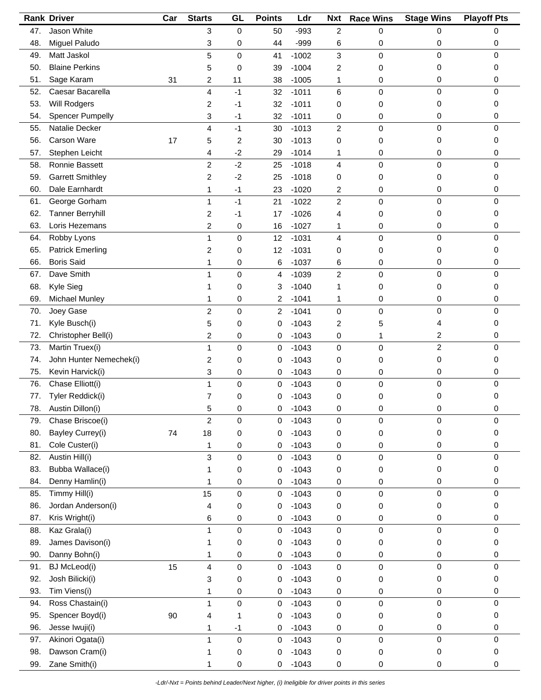|     | <b>Rank Driver</b>      | Car | <b>Starts</b>             | GL          | <b>Points</b>  | Ldr     | <b>Nxt</b>     | <b>Race Wins</b> | <b>Stage Wins</b> | <b>Playoff Pts</b> |
|-----|-------------------------|-----|---------------------------|-------------|----------------|---------|----------------|------------------|-------------------|--------------------|
| 47. | Jason White             |     | 3                         | $\mathbf 0$ | 50             | $-993$  | $\overline{c}$ | 0                | 0                 | 0                  |
| 48. | Miguel Paludo           |     | 3                         | 0           | 44             | $-999$  | 6              | 0                | 0                 | 0                  |
| 49. | Matt Jaskol             |     | 5                         | 0           | 41             | $-1002$ | 3              | 0                | 0                 | $\mathbf 0$        |
| 50. | <b>Blaine Perkins</b>   |     | 5                         | 0           | 39             | $-1004$ | 2              | 0                | 0                 | 0                  |
| 51. | Sage Karam              | 31  | 2                         | 11          | 38             | $-1005$ | 1              | 0                | 0                 | 0                  |
| 52. | Caesar Bacarella        |     | 4                         | $-1$        | 32             | $-1011$ | 6              | 0                | 0                 | $\mathbf 0$        |
| 53. | Will Rodgers            |     | 2                         | -1          | 32             | $-1011$ | 0              | 0                | 0                 | 0                  |
| 54. | <b>Spencer Pumpelly</b> |     | 3                         | -1          | 32             | $-1011$ | 0              | 0                | 0                 | 0                  |
| 55. | Natalie Decker          |     | 4                         | $-1$        | 30             | $-1013$ | $\overline{c}$ | 0                | 0                 | 0                  |
| 56. | Carson Ware             | 17  | 5                         | 2           | 30             | $-1013$ | 0              | 0                | 0                 | 0                  |
| 57. | Stephen Leicht          |     | 4                         | $-2$        | 29             | $-1014$ | 1              | 0                | 0                 | 0                  |
| 58. | Ronnie Bassett          |     | $\overline{c}$            | $-2$        | 25             | $-1018$ | 4              | 0                | $\pmb{0}$         | 0                  |
| 59. | <b>Garrett Smithley</b> |     | 2                         | $-2$        | 25             | $-1018$ | 0              | 0                | 0                 | 0                  |
| 60. | Dale Earnhardt          |     | 1                         | $-1$        | 23             | $-1020$ | 2              | 0                | 0                 | 0                  |
| 61. | George Gorham           |     | 1                         | $-1$        | 21             | $-1022$ | $\overline{c}$ | 0                | 0                 | 0                  |
| 62. | <b>Tanner Berryhill</b> |     | 2                         | -1          | 17             | $-1026$ | 4              | 0                | 0                 | 0                  |
| 63. | Loris Hezemans          |     | 2                         | 0           | 16             | $-1027$ | 1              | 0                | 0                 | 0                  |
|     | Robby Lyons             |     |                           |             |                | $-1031$ | 4              |                  | 0                 | 0                  |
| 64. |                         |     | 1                         | 0           | 12             |         |                | 0                |                   |                    |
| 65. | <b>Patrick Emerling</b> |     | 2                         | 0           | 12             | $-1031$ | 0              | 0                | 0                 | 0                  |
| 66. | <b>Boris Said</b>       |     | 1                         | 0           | 6              | $-1037$ | 6              | 0                | 0                 | 0                  |
| 67. | Dave Smith              |     | 1                         | 0           | $\overline{4}$ | $-1039$ | $\overline{c}$ | 0                | $\pmb{0}$         | $\mathbf 0$        |
| 68. | Kyle Sieg               |     | 1                         | 0           | 3              | $-1040$ | 1              | 0                | 0                 | 0                  |
| 69. | Michael Munley          |     | 1                         | 0           | 2              | $-1041$ | 1              | 0                | 0                 | 0                  |
| 70. | Joey Gase               |     | $\overline{c}$            | 0           | $\overline{c}$ | $-1041$ | $\mathbf 0$    | 0                | 0                 | 0                  |
| 71. | Kyle Busch(i)           |     | 5                         | 0           | 0              | $-1043$ | 2              | 5                | 4                 | 0                  |
| 72. | Christopher Bell(i)     |     | $\overline{c}$            | 0           | 0              | $-1043$ | 0              | 1                | 2                 | 0                  |
| 73. | Martin Truex(i)         |     | 1                         | 0           | $\mathbf 0$    | $-1043$ | $\mathbf 0$    | 0                | $\overline{c}$    | $\mathbf 0$        |
| 74. | John Hunter Nemechek(i) |     | 2                         | 0           | 0              | $-1043$ | 0              | 0                | 0                 | 0                  |
| 75. | Kevin Harvick(i)        |     | 3                         | 0           | 0              | $-1043$ | 0              | 0                | 0                 | 0                  |
| 76. | Chase Elliott(i)        |     | 1                         | 0           | 0              | $-1043$ | 0              | 0                | 0                 | $\mathbf 0$        |
| 77. | Tyler Reddick(i)        |     | 7                         | 0           | 0              | $-1043$ | 0              | 0                | 0                 | 0                  |
| 78. | Austin Dillon(i)        |     | 5                         | 0           | 0              | $-1043$ | 0              | 0                | 0                 | 0                  |
| 79. | Chase Briscoe(i)        |     | $\boldsymbol{2}$          | 0           | 0              | $-1043$ | 0              | 0                | 0                 | 0                  |
| 80. | Bayley Currey(i)        | 74  | 18                        | $\pmb{0}$   | 0              | $-1043$ | 0              | 0                | 0                 | 0                  |
| 81. | Cole Custer(i)          |     | 1                         | 0           | 0              | $-1043$ | 0              | 0                | 0                 | 0                  |
| 82. | Austin Hill(i)          |     | $\ensuremath{\mathsf{3}}$ | 0           | 0              | $-1043$ | $\pmb{0}$      | 0                | $\pmb{0}$         | $\mathbf 0$        |
| 83. | Bubba Wallace(i)        |     | 1                         | 0           | 0              | $-1043$ | 0              | 0                | 0                 | 0                  |
| 84. | Denny Hamlin(i)         |     | 1                         | 0           | 0              | $-1043$ | 0              | 0                | 0                 | 0                  |
| 85. | Timmy Hill(i)           |     | 15                        | 0           | 0              | $-1043$ | 0              | 0                | 0                 | 0                  |
| 86. | Jordan Anderson(i)      |     | 4                         | 0           | 0              | $-1043$ | 0              | 0                | 0                 | 0                  |
| 87. | Kris Wright(i)          |     | 6                         | 0           | 0              | $-1043$ | 0              | 0                | 0                 | 0                  |
| 88. | Kaz Grala(i)            |     | 1                         | $\mathsf 0$ | 0              | $-1043$ | 0              | 0                | 0                 | $\mathbf 0$        |
| 89. | James Davison(i)        |     | 1                         | 0           | 0              | $-1043$ | 0              | 0                | 0                 | 0                  |
| 90. | Danny Bohn(i)           |     | 1                         | 0           | 0              | $-1043$ | 0              | 0                | 0                 | 0                  |
| 91. | <b>BJ</b> McLeod(i)     | 15  | 4                         | 0           | 0              | $-1043$ | 0              | 0                | 0                 | $\mathbf 0$        |
| 92. | Josh Bilicki(i)         |     | 3                         | 0           | 0              | $-1043$ | 0              | 0                | 0                 | 0                  |
| 93. | Tim Viens(i)            |     | 1                         | 0           | 0              | $-1043$ | 0              | 0                | 0                 | 0                  |
| 94. | Ross Chastain(i)        |     | 1                         | 0           | $\pmb{0}$      | $-1043$ | $\pmb{0}$      | 0                | $\pmb{0}$         | 0                  |
| 95. | Spencer Boyd(i)         | 90  | 4                         | 1           | 0              | $-1043$ | 0              | 0                | 0                 | 0                  |
| 96. | Jesse Iwuji(i)          |     | 1                         | $-1$        | 0              | $-1043$ | 0              | 0                | 0                 | 0                  |
| 97. | Akinori Ogata(i)        |     | 1                         | $\mathsf 0$ | 0              | $-1043$ | 0              | 0                | $\pmb{0}$         | 0                  |
| 98. | Dawson Cram(i)          |     | 1                         | 0           | 0              | $-1043$ | 0              | 0                | 0                 | 0                  |
| 99. | Zane Smith(i)           |     | 1                         | 0           | 0              | $-1043$ | 0              | 0                | 0                 | 0                  |
|     |                         |     |                           |             |                |         |                |                  |                   |                    |